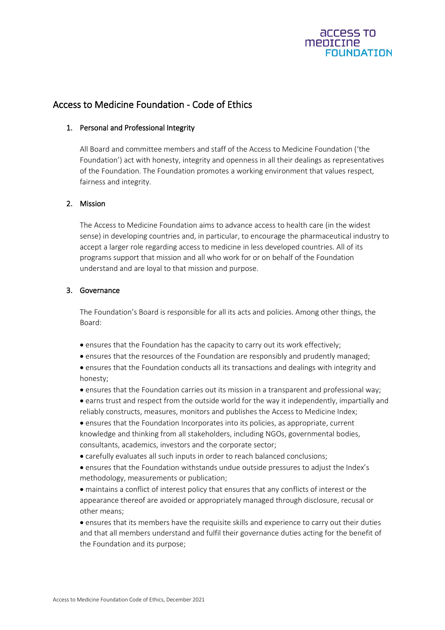

# Access to Medicine Foundation - Code of Ethics

## 1. Personal and Professional Integrity

All Board and committee members and staff of the Access to Medicine Foundation ('the Foundation') act with honesty, integrity and openness in all their dealings as representatives of the Foundation. The Foundation promotes a working environment that values respect, fairness and integrity.

### 2. Mission

The Access to Medicine Foundation aims to advance access to health care (in the widest sense) in developing countries and, in particular, to encourage the pharmaceutical industry to accept a larger role regarding access to medicine in less developed countries. All of its programs support that mission and all who work for or on behalf of the Foundation understand and are loyal to that mission and purpose.

### 3. Governance

The Foundation's Board is responsible for all its acts and policies. Among other things, the Board:

- ensures that the Foundation has the capacity to carry out its work effectively;
- ensures that the resources of the Foundation are responsibly and prudently managed;
- ensures that the Foundation conducts all its transactions and dealings with integrity and honesty;
- ensures that the Foundation carries out its mission in a transparent and professional way;
- earns trust and respect from the outside world for the way it independently, impartially and reliably constructs, measures, monitors and publishes the Access to Medicine Index;

• ensures that the Foundation Incorporates into its policies, as appropriate, current knowledge and thinking from all stakeholders, including NGOs, governmental bodies, consultants, academics, investors and the corporate sector;

- carefully evaluates all such inputs in order to reach balanced conclusions;
- ensures that the Foundation withstands undue outside pressures to adjust the Index's methodology, measurements or publication;

• maintains a conflict of interest policy that ensures that any conflicts of interest or the appearance thereof are avoided or appropriately managed through disclosure, recusal or other means;

• ensures that its members have the requisite skills and experience to carry out their duties and that all members understand and fulfil their governance duties acting for the benefit of the Foundation and its purpose;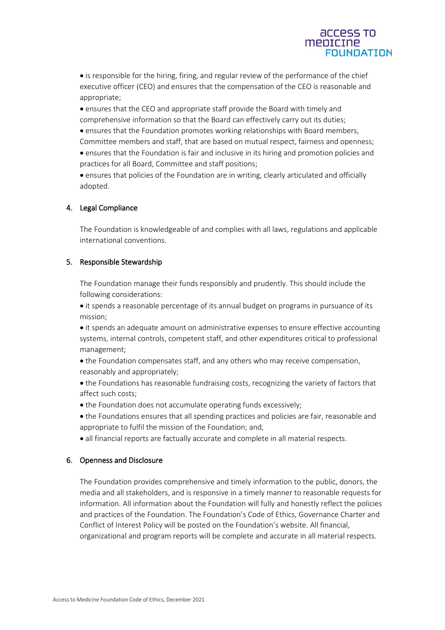# **ACCESS TO** mentcine **FOUNDATION**

• is responsible for the hiring, firing, and regular review of the performance of the chief executive officer (CEO) and ensures that the compensation of the CEO is reasonable and appropriate;

• ensures that the CEO and appropriate staff provide the Board with timely and comprehensive information so that the Board can effectively carry out its duties;

• ensures that the Foundation promotes working relationships with Board members,

Committee members and staff, that are based on mutual respect, fairness and openness; • ensures that the Foundation is fair and inclusive in its hiring and promotion policies and practices for all Board, Committee and staff positions;

• ensures that policies of the Foundation are in writing, clearly articulated and officially adopted.

# 4. Legal Compliance

The Foundation is knowledgeable of and complies with all laws, regulations and applicable international conventions.

# 5. Responsible Stewardship

The Foundation manage their funds responsibly and prudently. This should include the following considerations:

• it spends a reasonable percentage of its annual budget on programs in pursuance of its mission;

• it spends an adequate amount on administrative expenses to ensure effective accounting systems, internal controls, competent staff, and other expenditures critical to professional management;

• the Foundation compensates staff, and any others who may receive compensation, reasonably and appropriately;

• the Foundations has reasonable fundraising costs, recognizing the variety of factors that affect such costs;

- the Foundation does not accumulate operating funds excessively;
- the Foundations ensures that all spending practices and policies are fair, reasonable and appropriate to fulfil the mission of the Foundation; and,
- all financial reports are factually accurate and complete in all material respects.

# 6. Openness and Disclosure

The Foundation provides comprehensive and timely information to the public, donors, the media and all stakeholders, and is responsive in a timely manner to reasonable requests for information. All information about the Foundation will fully and honestly reflect the policies and practices of the Foundation. The Foundation's Code of Ethics, Governance Charter and Conflict of Interest Policy will be posted on the Foundation's website. All financial, organizational and program reports will be complete and accurate in all material respects.